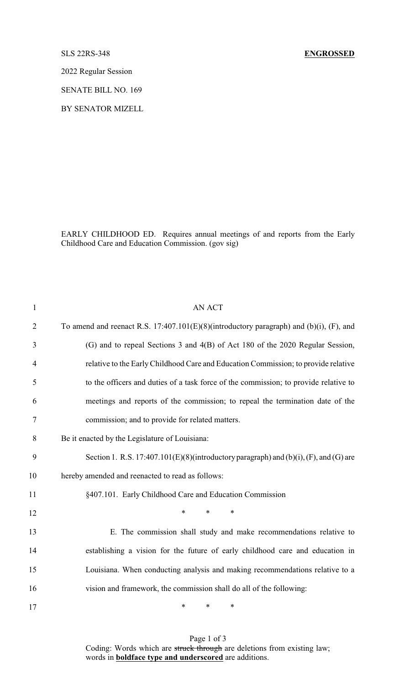2022 Regular Session

SENATE BILL NO. 169

BY SENATOR MIZELL

EARLY CHILDHOOD ED. Requires annual meetings of and reports from the Early Childhood Care and Education Commission. (gov sig)

| $\mathbf{1}$   | <b>AN ACT</b>                                                                              |
|----------------|--------------------------------------------------------------------------------------------|
| $\overline{2}$ | To amend and reenact R.S. $17:407.101(E)(8)$ (introductory paragraph) and (b)(i), (F), and |
| 3              | (G) and to repeal Sections 3 and 4(B) of Act 180 of the 2020 Regular Session,              |
| $\overline{4}$ | relative to the Early Childhood Care and Education Commission; to provide relative         |
| 5              | to the officers and duties of a task force of the commission; to provide relative to       |
| 6              | meetings and reports of the commission; to repeal the termination date of the              |
| 7              | commission; and to provide for related matters.                                            |
| 8              | Be it enacted by the Legislature of Louisiana:                                             |
| 9              | Section 1. R.S. $17:407.101(E)(8)$ (introductory paragraph) and (b)(i), (F), and (G) are   |
| 10             | hereby amended and reenacted to read as follows:                                           |
| 11             | §407.101. Early Childhood Care and Education Commission                                    |
| 12             | *<br>$\ast$<br>$\ast$                                                                      |
| 13             | E. The commission shall study and make recommendations relative to                         |
| 14             | establishing a vision for the future of early childhood care and education in              |
| 15             | Louisiana. When conducting analysis and making recommendations relative to a               |
| 16             | vision and framework, the commission shall do all of the following:                        |
| 17             | *<br>$\ast$<br>*                                                                           |

Page 1 of 3 Coding: Words which are struck through are deletions from existing law; words in **boldface type and underscored** are additions.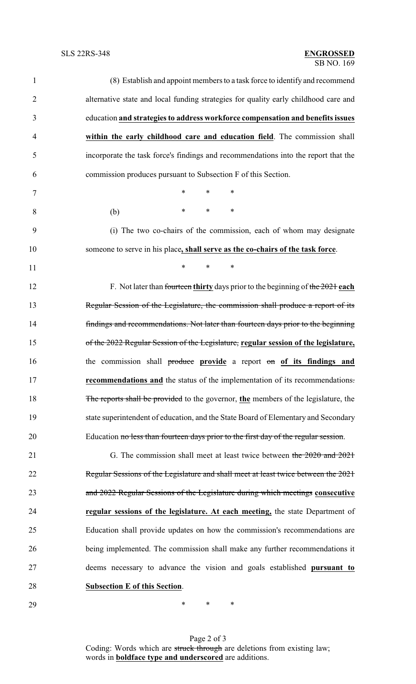| $\mathbf{1}$   | (8) Establish and appoint members to a task force to identify and recommend         |
|----------------|-------------------------------------------------------------------------------------|
| $\overline{2}$ | alternative state and local funding strategies for quality early childhood care and |
| 3              | education and strategies to address workforce compensation and benefits issues      |
| $\overline{4}$ | within the early childhood care and education field. The commission shall           |
| 5              | incorporate the task force's findings and recommendations into the report that the  |
| 6              | commission produces pursuant to Subsection F of this Section.                       |
| 7              | $\ast$<br>$\ast$<br>$\ast$                                                          |
| 8              | $\ast$<br>$\ast$<br>$\ast$<br>(b)                                                   |
| 9              | (i) The two co-chairs of the commission, each of whom may designate                 |
| 10             | someone to serve in his place, shall serve as the co-chairs of the task force.      |
| 11             | $\ast$<br>$\ast$<br>$\ast$                                                          |
| 12             | F. Not later than fourteen thirty days prior to the beginning of the $2021$ each    |
| 13             | Regular Session of the Legislature, the commission shall produce a report of its    |
| 14             | findings and recommendations. Not later than fourteen days prior to the beginning   |
| 15             | of the 2022 Regular Session of the Legislature, regular session of the legislature, |
| 16             | the commission shall produce provide a report on of its findings and                |
| 17             | <b>recommendations and</b> the status of the implementation of its recommendations. |
| 18             | The reports shall be provided to the governor, the members of the legislature, the  |
| 19             | state superintendent of education, and the State Board of Elementary and Secondary  |
| 20             | Education no less than fourteen days prior to the first day of the regular session. |
| 21             | G. The commission shall meet at least twice between the 2020 and 2021               |
| 22             | Regular Sessions of the Legislature and shall meet at least twice between the 2021  |
| 23             | and 2022 Regular Sessions of the Legislature during which meetings consecutive      |
| 24             | regular sessions of the legislature. At each meeting, the state Department of       |
| 25             | Education shall provide updates on how the commission's recommendations are         |
| 26             | being implemented. The commission shall make any further recommendations it         |
| 27             | deems necessary to advance the vision and goals established pursuant to             |
| 28             | <b>Subsection E of this Section.</b>                                                |
| 29             | ∗<br>∗<br>∗                                                                         |

Page 2 of 3 Coding: Words which are struck through are deletions from existing law; words in **boldface type and underscored** are additions.